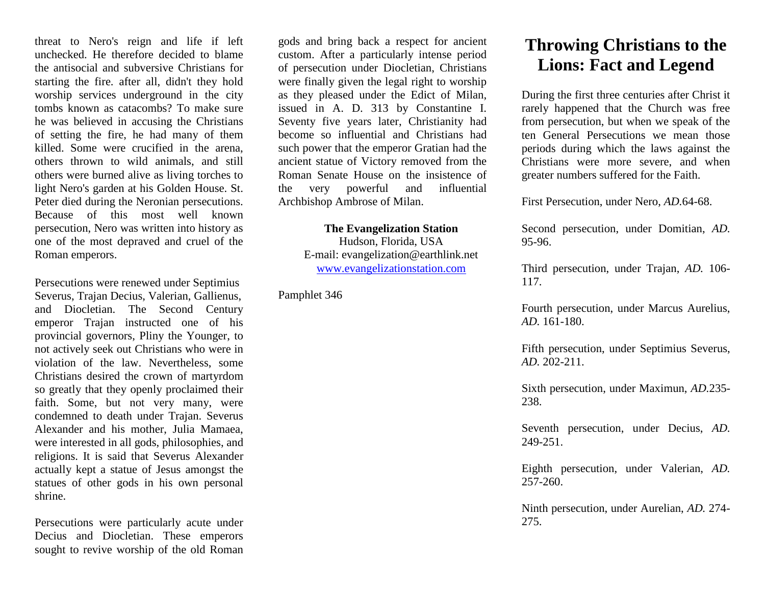threat to Nero's reign and life if left unchecked. He therefore decided to blame the antisocial and subversive Christians for starting the fire. after all, didn't they hold worship services underground in the city tombs known as catacombs? To make sure he was believed in accusing the Christians of setting the fire, he had many of them killed. Some were crucified in the arena, others thrown to wild animals, and still others were burned alive as living torches to light Nero's garden at his Golden House. St. Peter died during the Neronian persecutions. Because of this most well known persecution, Nero was written into history as one of the most depraved and cruel of the Roman emperors.

Persecutions were renewed under Septimius Severus, Trajan Decius, Valerian, Gallienus, and Diocletian. The Second Century emperor Trajan instructed one of his provincial governors, Pliny the Younger, to not actively seek out Christians who were in violation of the law. Nevertheless, some Christians desired the crown of martyrdom so greatly that they openly proclaimed their faith. Some, but not very many, were condemned to death under Trajan. Severus Alexander and his mother, Julia Mamaea, were interested in all gods, philosophies, and religions. It is said that Severus Alexander actually kept a statue of Jesus amongst the statues of other gods in his own personal shrine.

Persecutions were particularly acute under Decius and Diocletian. These emperors sought to revive worship of the old Roman gods and bring back a respect for ancient custom. After a particularly intense period of persecution under Diocletian, Christians were finally given the legal right to worship as they pleased under the Edict of Milan, issued in A. D. 313 by Constantine I. Seventy five years later, Christianity had become so influential and Christians had such power that the emperor Gratian had the ancient statue of Victory removed from the Roman Senate House on the insistence of the very powerful and influential Archbishop Ambrose of Milan.

> **The Evangelization Station**  Hudson, Florida, USA E-mail: evangelization@earthlink.net [www.evangelizationstation.com](http://www.pjpiisoe.org/)

Pamphlet 346

## **Throwing Christians to the Lions: Fact and Legend**

During the first three centuries after Christ it rarely happened that the Church was free from persecution, but when we speak of the ten General Persecutions we mean those periods during which the laws against the Christians were more severe, and when greater numbers suffered for the Faith.

First Persecution, under Nero, *AD.*64-68.

Second persecution, under Domitian, *AD.*  95-96.

Third persecution, under Trajan, *AD.* 106- 117.

Fourth persecution, under Marcus Aurelius, *AD.* 161-180.

Fifth persecution, under Septimius Severus, *AD.* 202-211.

Sixth persecution, under Maximun, *AD.*235- 238.

Seventh persecution, under Decius, *AD.* 249-251.

Eighth persecution, under Valerian, *AD.* 257-260.

Ninth persecution, under Aurelian, *AD.* 274- 275.